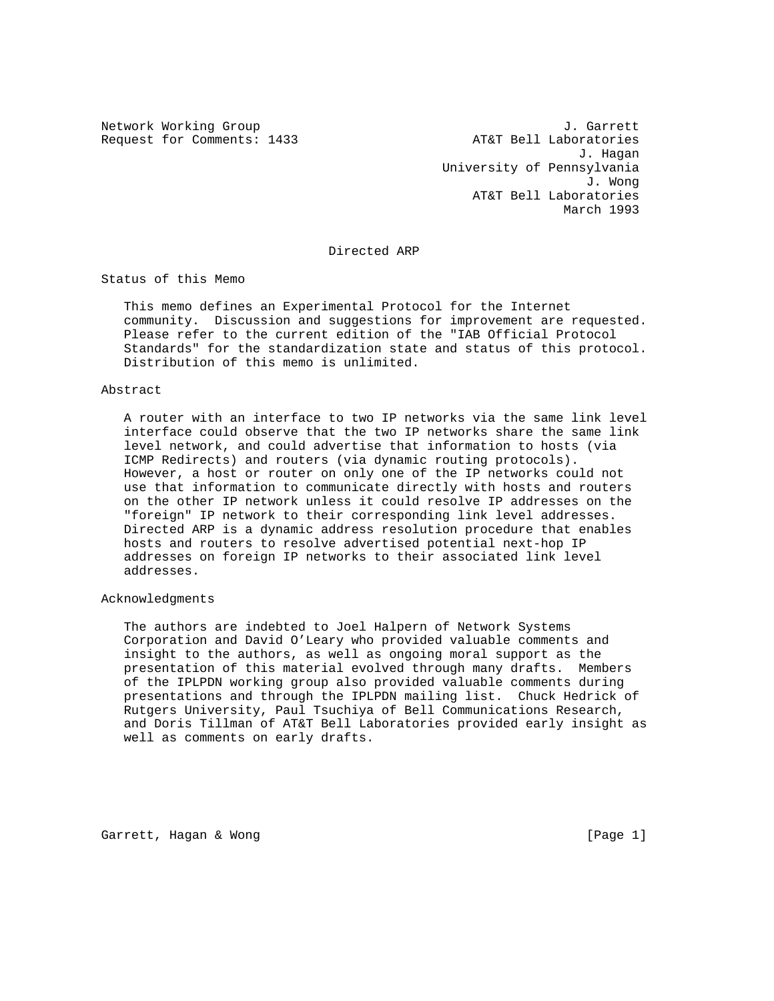Request for Comments: 1433 AT&T Bell Laboratories

Network Working Group J. Garrett J. Hagan University of Pennsylvania J. Wong AT&T Bell Laboratories March 1993

Directed ARP

Status of this Memo

 This memo defines an Experimental Protocol for the Internet community. Discussion and suggestions for improvement are requested. Please refer to the current edition of the "IAB Official Protocol Standards" for the standardization state and status of this protocol. Distribution of this memo is unlimited.

### Abstract

 A router with an interface to two IP networks via the same link level interface could observe that the two IP networks share the same link level network, and could advertise that information to hosts (via ICMP Redirects) and routers (via dynamic routing protocols). However, a host or router on only one of the IP networks could not use that information to communicate directly with hosts and routers on the other IP network unless it could resolve IP addresses on the "foreign" IP network to their corresponding link level addresses. Directed ARP is a dynamic address resolution procedure that enables hosts and routers to resolve advertised potential next-hop IP addresses on foreign IP networks to their associated link level addresses.

## Acknowledgments

 The authors are indebted to Joel Halpern of Network Systems Corporation and David O'Leary who provided valuable comments and insight to the authors, as well as ongoing moral support as the presentation of this material evolved through many drafts. Members of the IPLPDN working group also provided valuable comments during presentations and through the IPLPDN mailing list. Chuck Hedrick of Rutgers University, Paul Tsuchiya of Bell Communications Research, and Doris Tillman of AT&T Bell Laboratories provided early insight as well as comments on early drafts.

Garrett, Hagan & Wong [Page 1]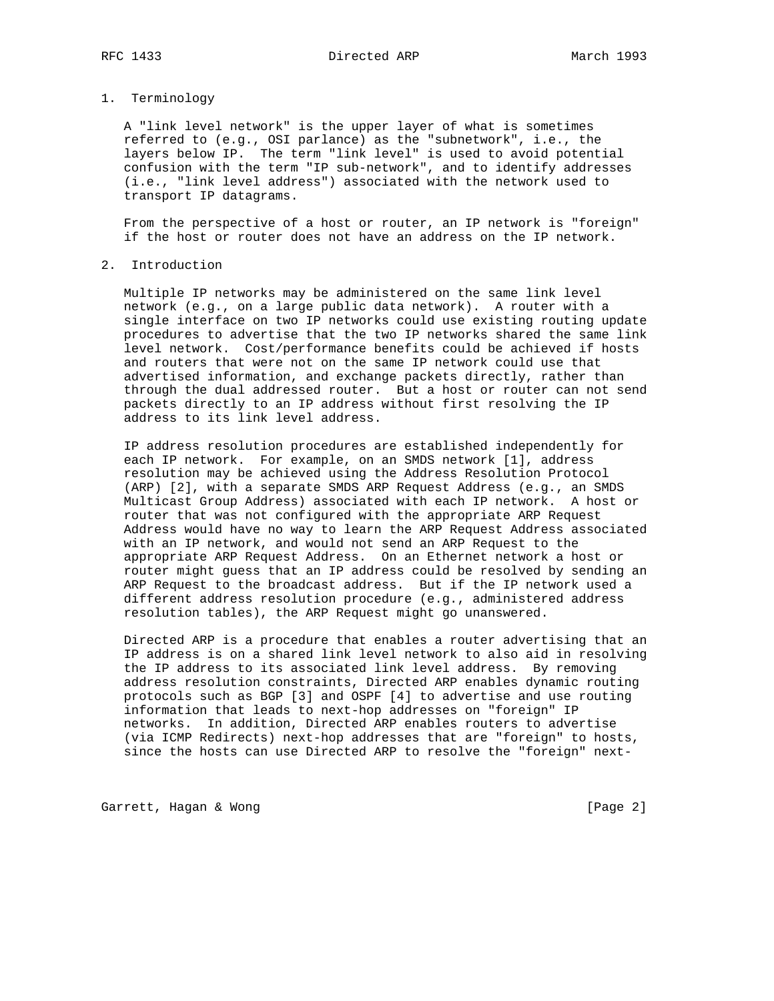### RFC 1433 Directed ARP March 1993

## 1. Terminology

 A "link level network" is the upper layer of what is sometimes referred to (e.g., OSI parlance) as the "subnetwork", i.e., the layers below IP. The term "link level" is used to avoid potential confusion with the term "IP sub-network", and to identify addresses (i.e., "link level address") associated with the network used to transport IP datagrams.

 From the perspective of a host or router, an IP network is "foreign" if the host or router does not have an address on the IP network.

### 2. Introduction

 Multiple IP networks may be administered on the same link level network (e.g., on a large public data network). A router with a single interface on two IP networks could use existing routing update procedures to advertise that the two IP networks shared the same link level network. Cost/performance benefits could be achieved if hosts and routers that were not on the same IP network could use that advertised information, and exchange packets directly, rather than through the dual addressed router. But a host or router can not send packets directly to an IP address without first resolving the IP address to its link level address.

 IP address resolution procedures are established independently for each IP network. For example, on an SMDS network [1], address resolution may be achieved using the Address Resolution Protocol (ARP) [2], with a separate SMDS ARP Request Address (e.g., an SMDS Multicast Group Address) associated with each IP network. A host or router that was not configured with the appropriate ARP Request Address would have no way to learn the ARP Request Address associated with an IP network, and would not send an ARP Request to the appropriate ARP Request Address. On an Ethernet network a host or router might guess that an IP address could be resolved by sending an ARP Request to the broadcast address. But if the IP network used a different address resolution procedure (e.g., administered address resolution tables), the ARP Request might go unanswered.

 Directed ARP is a procedure that enables a router advertising that an IP address is on a shared link level network to also aid in resolving the IP address to its associated link level address. By removing address resolution constraints, Directed ARP enables dynamic routing protocols such as BGP [3] and OSPF [4] to advertise and use routing information that leads to next-hop addresses on "foreign" IP networks. In addition, Directed ARP enables routers to advertise (via ICMP Redirects) next-hop addresses that are "foreign" to hosts, since the hosts can use Directed ARP to resolve the "foreign" next-

Garrett, Hagan & Wong [Page 2]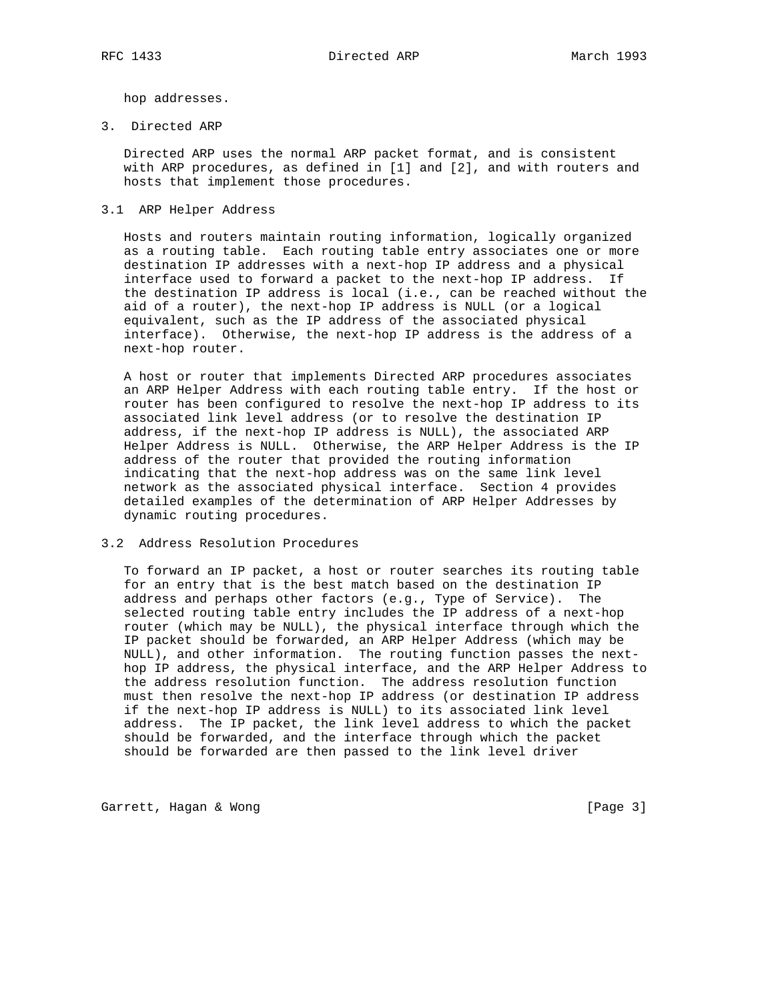hop addresses.

3. Directed ARP

 Directed ARP uses the normal ARP packet format, and is consistent with ARP procedures, as defined in [1] and [2], and with routers and hosts that implement those procedures.

3.1 ARP Helper Address

 Hosts and routers maintain routing information, logically organized as a routing table. Each routing table entry associates one or more destination IP addresses with a next-hop IP address and a physical interface used to forward a packet to the next-hop IP address. If the destination IP address is local (i.e., can be reached without the aid of a router), the next-hop IP address is NULL (or a logical equivalent, such as the IP address of the associated physical interface). Otherwise, the next-hop IP address is the address of a next-hop router.

 A host or router that implements Directed ARP procedures associates an ARP Helper Address with each routing table entry. If the host or router has been configured to resolve the next-hop IP address to its associated link level address (or to resolve the destination IP address, if the next-hop IP address is NULL), the associated ARP Helper Address is NULL. Otherwise, the ARP Helper Address is the IP address of the router that provided the routing information indicating that the next-hop address was on the same link level network as the associated physical interface. Section 4 provides detailed examples of the determination of ARP Helper Addresses by dynamic routing procedures.

#### 3.2 Address Resolution Procedures

 To forward an IP packet, a host or router searches its routing table for an entry that is the best match based on the destination IP address and perhaps other factors (e.g., Type of Service). The selected routing table entry includes the IP address of a next-hop router (which may be NULL), the physical interface through which the IP packet should be forwarded, an ARP Helper Address (which may be NULL), and other information. The routing function passes the next hop IP address, the physical interface, and the ARP Helper Address to the address resolution function. The address resolution function must then resolve the next-hop IP address (or destination IP address if the next-hop IP address is NULL) to its associated link level address. The IP packet, the link level address to which the packet should be forwarded, and the interface through which the packet should be forwarded are then passed to the link level driver

Garrett, Hagan & Wong [Page 3]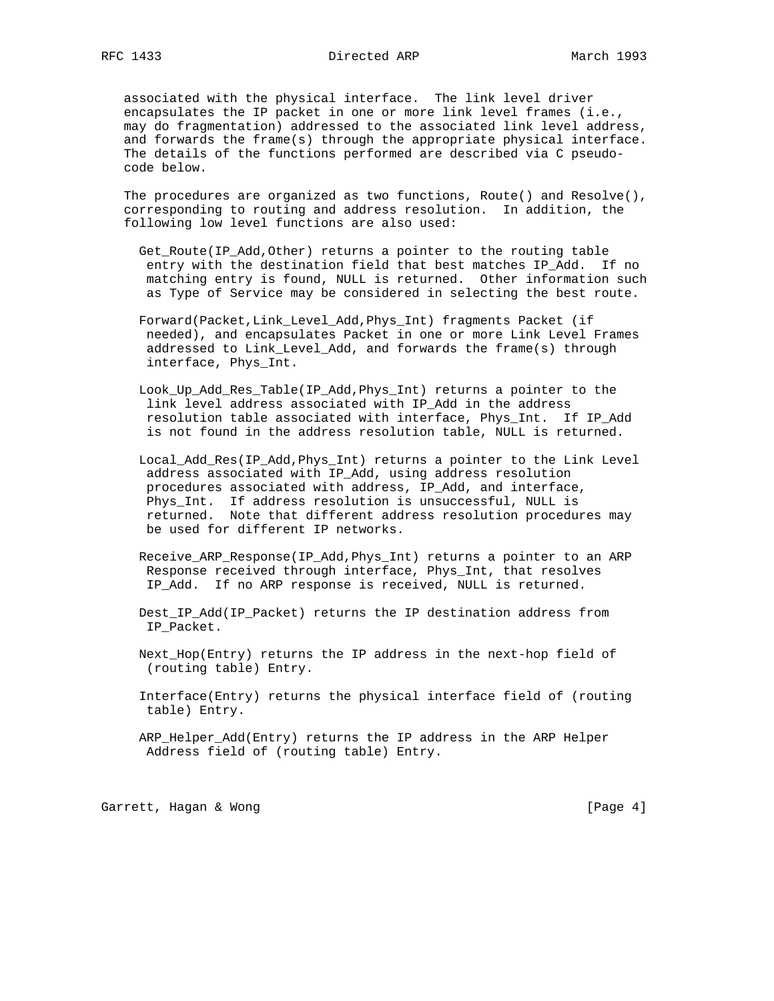associated with the physical interface. The link level driver encapsulates the IP packet in one or more link level frames (i.e., may do fragmentation) addressed to the associated link level address, and forwards the frame(s) through the appropriate physical interface. The details of the functions performed are described via C pseudo code below.

The procedures are organized as two functions, Route() and Resolve(), corresponding to routing and address resolution. In addition, the following low level functions are also used:

- Get\_Route(IP\_Add,Other) returns a pointer to the routing table entry with the destination field that best matches IP\_Add. If no matching entry is found, NULL is returned. Other information such as Type of Service may be considered in selecting the best route.
- Forward(Packet,Link\_Level\_Add,Phys\_Int) fragments Packet (if needed), and encapsulates Packet in one or more Link Level Frames addressed to Link\_Level\_Add, and forwards the frame(s) through interface, Phys\_Int.
- Look\_Up\_Add\_Res\_Table(IP\_Add,Phys\_Int) returns a pointer to the link level address associated with IP\_Add in the address resolution table associated with interface, Phys\_Int. If IP\_Add is not found in the address resolution table, NULL is returned.
- Local\_Add\_Res(IP\_Add,Phys\_Int) returns a pointer to the Link Level address associated with IP\_Add, using address resolution procedures associated with address, IP\_Add, and interface, Phys\_Int. If address resolution is unsuccessful, NULL is returned. Note that different address resolution procedures may be used for different IP networks.
- Receive ARP Response(IP Add, Phys Int) returns a pointer to an ARP Response received through interface, Phys\_Int, that resolves IP\_Add. If no ARP response is received, NULL is returned.
- Dest\_IP\_Add(IP\_Packet) returns the IP destination address from IP\_Packet.
- Next\_Hop(Entry) returns the IP address in the next-hop field of (routing table) Entry.
- Interface(Entry) returns the physical interface field of (routing table) Entry.
- ARP\_Helper\_Add(Entry) returns the IP address in the ARP Helper Address field of (routing table) Entry.

Garrett, Hagan & Wong [Page 4]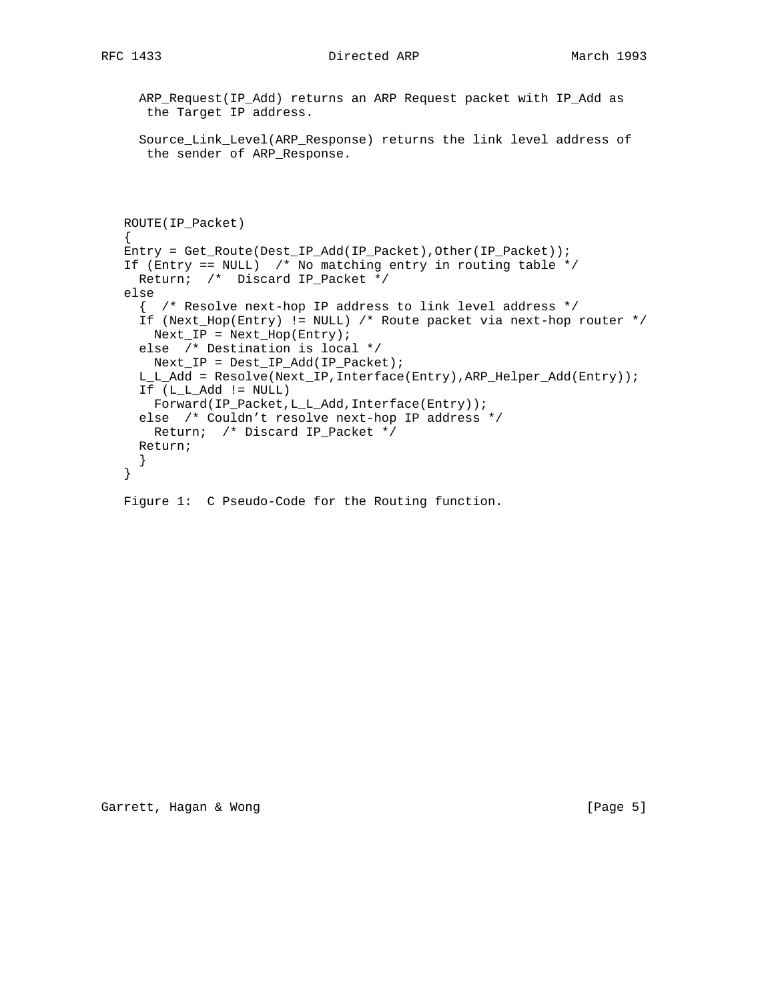# RFC 1433 Directed ARP March 1993

```
 ARP_Request(IP_Add) returns an ARP Request packet with IP_Add as
  the Target IP address.
 Source_Link_Level(ARP_Response) returns the link level address of
 the sender of ARP_Response.
```

```
 ROUTE(IP_Packet)
\{ \cdot \cdot \cdot \cdot \cdot \cdot \cdot \cdot \cdot \cdot \cdot \cdot \cdot \cdot \cdot \cdot \cdot \cdot \cdot \cdot \cdot \cdot \cdot \cdot \cdot \cdot \cdot \cdot \cdot \cdot \cdot \cdot \cdot \cdot \cdot \cdot 
    Entry = Get_Route(Dest_IP_Add(IP_Packet),Other(IP_Packet));
   If (Entry == NULL) /* No matching entry in routing table */ Return; /* Discard IP_Packet */
    else
       { /* Resolve next-hop IP address to link level address */
       If (Next_Hop(Entry) != NULL) /* Route packet via next-hop router */
        Next_I = Next_I Hop(Entry);
       else /* Destination is local */
        Next_IP = Dest_IP_Add(IP_Packet);
       L_L_Add = Resolve(Next_IP,Interface(Entry),ARP_Helper_Add(Entry));
       If (L_L_Add != NULL)
         Forward(IP_Packet,L_L_Add,Interface(Entry));
       else /* Couldn't resolve next-hop IP address */
         Return; /* Discard IP_Packet */
       Return;
       }
    }
    Figure 1: C Pseudo-Code for the Routing function.
```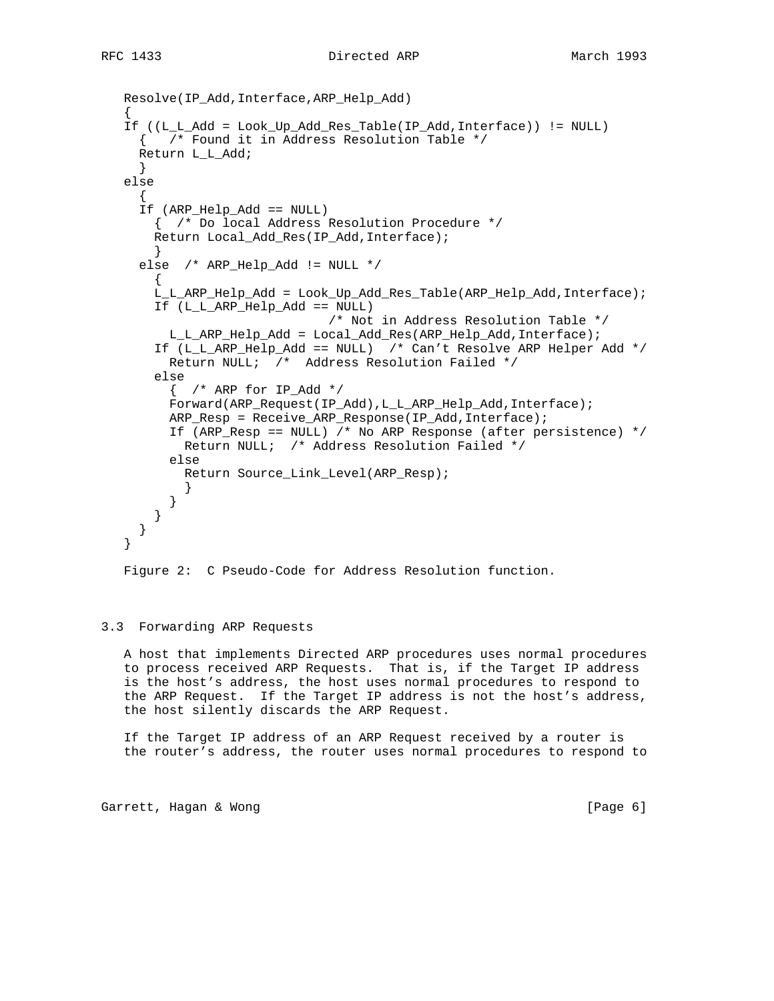```
 Resolve(IP_Add,Interface,ARP_Help_Add)
\{ \cdot \cdot \cdot \cdot \cdot \cdot \cdot \cdot \cdot \cdot \cdot \cdot \cdot \cdot \cdot \cdot \cdot \cdot \cdot \cdot \cdot \cdot \cdot \cdot \cdot \cdot \cdot \cdot \cdot \cdot \cdot \cdot \cdot \cdot \cdot \cdot 
    If ((L_L_Add = Look_Up_Add_Res_Table(IP_Add,Interface)) != NULL)
      { /* Found it in Address Resolution Table */
      Return L_L_Add;
      }
    else
\{ If (ARP_Help_Add == NULL)
         { /* Do local Address Resolution Procedure */
         Return Local_Add_Res(IP_Add,Interface);
 }
     else /* ARP Help Add != NULL */
\{ L_L_ARP_Help_Add = Look_Up_Add_Res_Table(ARP_Help_Add,Interface);
         If (L_L_ARP_Help_Add == NULL)
                                     /* Not in Address Resolution Table */
           L_L_ARP_Help_Add = Local_Add_Res(ARP_Help_Add,Interface);
         If (L_L_ARP_Help_Add == NULL) /* Can't Resolve ARP Helper Add */
           Return NULL; /* Address Resolution Failed */
         else
          \{ /* ARP for IP Add */
           Forward(ARP_Request(IP_Add),L_L_ARP_Help_Add,Interface);
           ARP_Resp = Receive_ARP_Response(IP_Add,Interface);
           If (ARP_Resp == NULL) /* No ARP Response (after persistence) */
             Return NULL; /* Address Resolution Failed */
           else
             Return Source_Link_Level(ARP_Resp);
 }
 }
         }
      }
    }
```

```
 Figure 2: C Pseudo-Code for Address Resolution function.
```
# 3.3 Forwarding ARP Requests

 A host that implements Directed ARP procedures uses normal procedures to process received ARP Requests. That is, if the Target IP address is the host's address, the host uses normal procedures to respond to the ARP Request. If the Target IP address is not the host's address, the host silently discards the ARP Request.

 If the Target IP address of an ARP Request received by a router is the router's address, the router uses normal procedures to respond to

Garrett, Hagan & Wong [Page 6]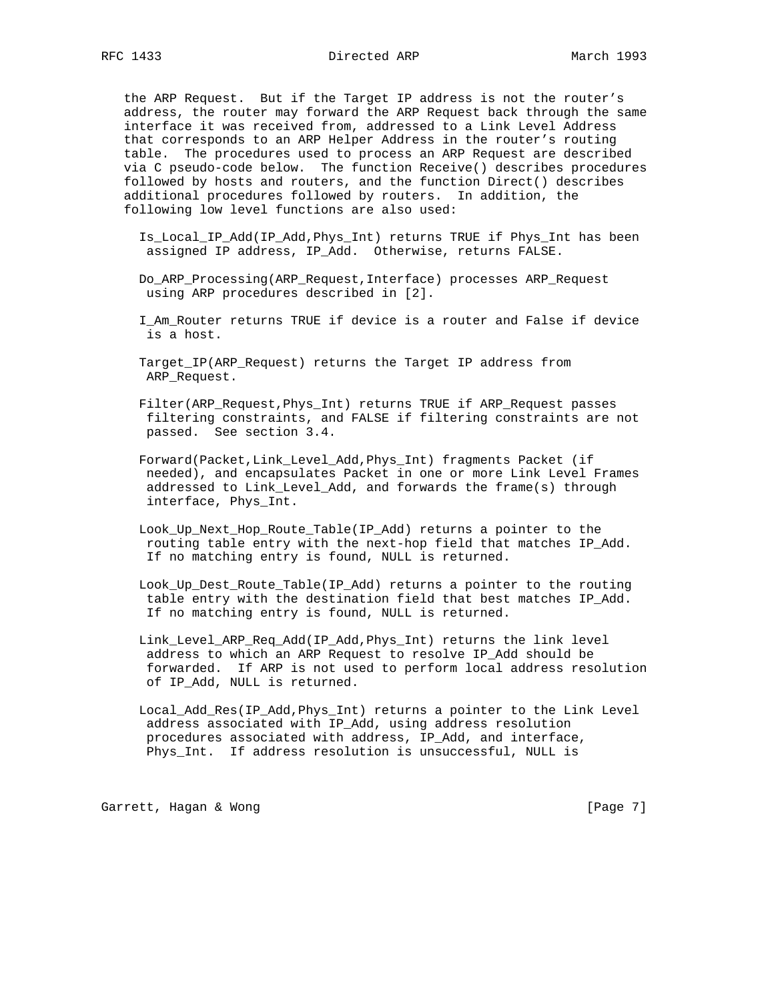the ARP Request. But if the Target IP address is not the router's address, the router may forward the ARP Request back through the same interface it was received from, addressed to a Link Level Address that corresponds to an ARP Helper Address in the router's routing table. The procedures used to process an ARP Request are described via C pseudo-code below. The function Receive() describes procedures followed by hosts and routers, and the function Direct() describes additional procedures followed by routers. In addition, the following low level functions are also used:

- Is\_Local\_IP\_Add(IP\_Add,Phys\_Int) returns TRUE if Phys\_Int has been assigned IP address, IP\_Add. Otherwise, returns FALSE.
- Do\_ARP\_Processing(ARP\_Request,Interface) processes ARP\_Request using ARP procedures described in [2].
- I\_Am\_Router returns TRUE if device is a router and False if device is a host.
- Target\_IP(ARP\_Request) returns the Target IP address from ARP\_Request.
- Filter(ARP\_Request,Phys\_Int) returns TRUE if ARP\_Request passes filtering constraints, and FALSE if filtering constraints are not passed. See section 3.4.
- Forward(Packet,Link\_Level\_Add,Phys\_Int) fragments Packet (if needed), and encapsulates Packet in one or more Link Level Frames addressed to Link\_Level\_Add, and forwards the frame(s) through interface, Phys\_Int.
- Look\_Up\_Next\_Hop\_Route\_Table(IP\_Add) returns a pointer to the routing table entry with the next-hop field that matches IP\_Add. If no matching entry is found, NULL is returned.
- Look\_Up\_Dest\_Route\_Table(IP\_Add) returns a pointer to the routing table entry with the destination field that best matches IP\_Add. If no matching entry is found, NULL is returned.
- Link\_Level\_ARP\_Req\_Add(IP\_Add,Phys\_Int) returns the link level address to which an ARP Request to resolve IP\_Add should be forwarded. If ARP is not used to perform local address resolution of IP\_Add, NULL is returned.
- Local\_Add\_Res(IP\_Add,Phys\_Int) returns a pointer to the Link Level address associated with IP\_Add, using address resolution procedures associated with address, IP\_Add, and interface, Phys\_Int. If address resolution is unsuccessful, NULL is

Garrett, Hagan & Wong [Page 7]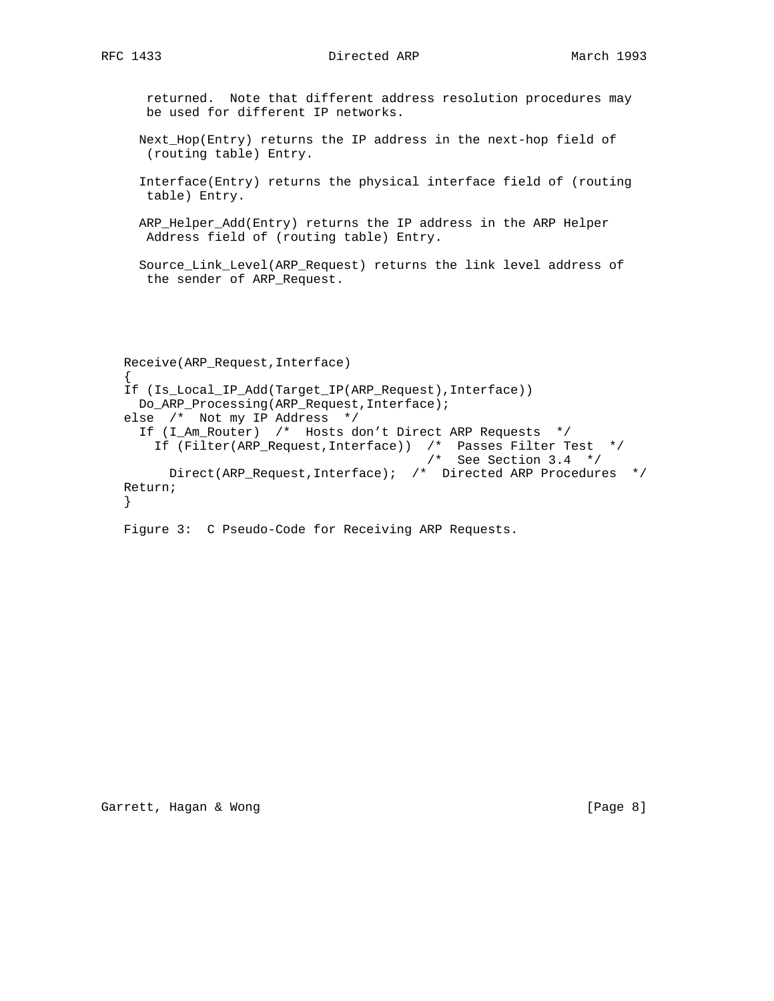returned. Note that different address resolution procedures may be used for different IP networks. Next\_Hop(Entry) returns the IP address in the next-hop field of (routing table) Entry. Interface(Entry) returns the physical interface field of (routing table) Entry. ARP\_Helper\_Add(Entry) returns the IP address in the ARP Helper Address field of (routing table) Entry.

 Source\_Link\_Level(ARP\_Request) returns the link level address of the sender of ARP\_Request.

 Receive(ARP\_Request,Interface) { If (Is\_Local\_IP\_Add(Target\_IP(ARP\_Request),Interface)) Do\_ARP\_Processing(ARP\_Request,Interface); else /\* Not my IP Address \*/ If (I\_Am\_Router) /\* Hosts don't Direct ARP Requests \*/ If (Filter(ARP\_Request,Interface)) /\* Passes Filter Test \*/ /\* See Section 3.4 \*/ Direct(ARP\_Request,Interface); /\* Directed ARP Procedures \*/ Return; }

Figure 3: C Pseudo-Code for Receiving ARP Requests.

Garrett, Hagan & Wong [Page 8]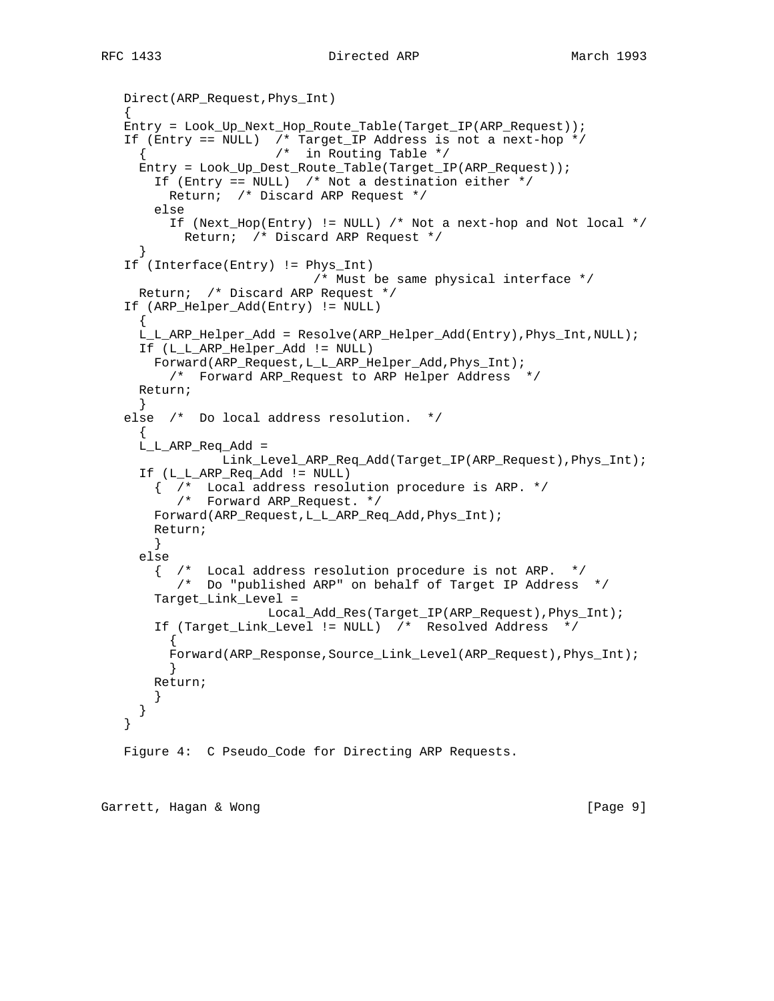# RFC 1433 Directed ARP March 1993

```
 Direct(ARP_Request,Phys_Int)
\{ \cdot \cdot \cdot \cdot \cdot \cdot \cdot \cdot \cdot \cdot \cdot \cdot \cdot \cdot \cdot \cdot \cdot \cdot \cdot \cdot \cdot \cdot \cdot \cdot \cdot \cdot \cdot \cdot \cdot \cdot \cdot \cdot \cdot \cdot \cdot \cdot 
    Entry = Look_Up_Next_Hop_Route_Table(Target_IP(ARP_Request));
    If (Entry == NULL) /* Target_IP Address is not a next-hop */
                         /* in Routing Table */
      Entry = Look_Up_Dest_Route_Table(Target_IP(ARP_Request));
        If (Entry == NULL) /* Not a destination either */
          Return; /* Discard ARP Request */
        else
          If (Next_Hop(Entry) != NULL) /* Not a next-hop and Not local */
             Return; /* Discard ARP Request */
      }
    If (Interface(Entry) != Phys_Int)
                               /* Must be same physical interface */
      Return; /* Discard ARP Request */
    If (ARP_Helper_Add(Entry) != NULL)
\{ L_L_ARP_Helper_Add = Resolve(ARP_Helper_Add(Entry),Phys_Int,NULL);
      If (L_L_ARP_Helper_Add != NULL)
        Forward(ARP_Request,L_L_ARP_Helper_Add,Phys_Int);
          /* Forward ARP_Request to ARP Helper Address */
      Return;
 }
    else /* Do local address resolution. */
\{ L_L_ARP_Req_Add =
                  Link_Level_ARP_Req_Add(Target_IP(ARP_Request),Phys_Int);
      If (L_L_ARP_Req_Add != NULL)
 { /* Local address resolution procedure is ARP. */
 /* Forward ARP_Request. */
       Forward(ARP Request,L L ARP Req Add, Phys Int);
        Return;
        }
      else
        { /* Local address resolution procedure is not ARP. */
           /* Do "published ARP" on behalf of Target IP Address */
        Target_Link_Level =
 Local_Add_Res(Target_IP(ARP_Request),Phys_Int);
 If (Target_Link_Level != NULL) /* Resolved Address */
         \left\{ \right. Forward(ARP_Response,Source_Link_Level(ARP_Request),Phys_Int);
          }
        Return;
        }
      }
    }
    Figure 4: C Pseudo_Code for Directing ARP Requests.
```
Garrett, Hagan & Wong [Page 9]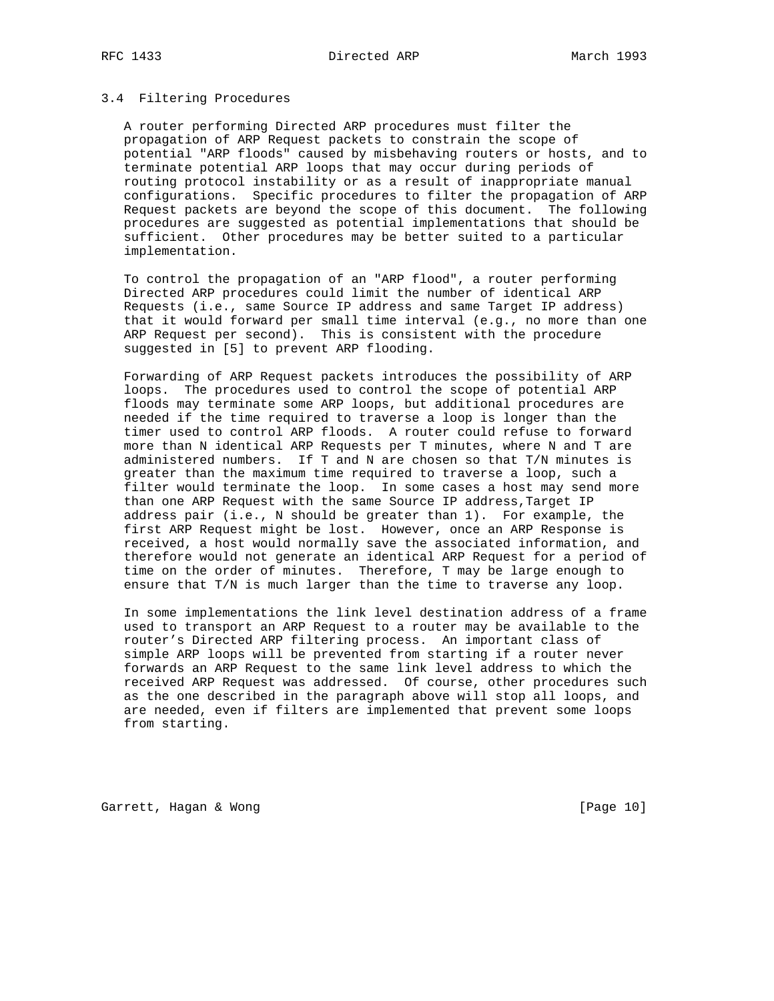## 3.4 Filtering Procedures

 A router performing Directed ARP procedures must filter the propagation of ARP Request packets to constrain the scope of potential "ARP floods" caused by misbehaving routers or hosts, and to terminate potential ARP loops that may occur during periods of routing protocol instability or as a result of inappropriate manual configurations. Specific procedures to filter the propagation of ARP Request packets are beyond the scope of this document. The following procedures are suggested as potential implementations that should be sufficient. Other procedures may be better suited to a particular implementation.

 To control the propagation of an "ARP flood", a router performing Directed ARP procedures could limit the number of identical ARP Requests (i.e., same Source IP address and same Target IP address) that it would forward per small time interval (e.g., no more than one ARP Request per second). This is consistent with the procedure suggested in [5] to prevent ARP flooding.

 Forwarding of ARP Request packets introduces the possibility of ARP loops. The procedures used to control the scope of potential ARP floods may terminate some ARP loops, but additional procedures are needed if the time required to traverse a loop is longer than the timer used to control ARP floods. A router could refuse to forward more than N identical ARP Requests per T minutes, where N and T are administered numbers. If T and N are chosen so that T/N minutes is greater than the maximum time required to traverse a loop, such a filter would terminate the loop. In some cases a host may send more than one ARP Request with the same Source IP address,Target IP address pair (i.e., N should be greater than 1). For example, the first ARP Request might be lost. However, once an ARP Response is received, a host would normally save the associated information, and therefore would not generate an identical ARP Request for a period of time on the order of minutes. Therefore, T may be large enough to ensure that T/N is much larger than the time to traverse any loop.

 In some implementations the link level destination address of a frame used to transport an ARP Request to a router may be available to the router's Directed ARP filtering process. An important class of simple ARP loops will be prevented from starting if a router never forwards an ARP Request to the same link level address to which the received ARP Request was addressed. Of course, other procedures such as the one described in the paragraph above will stop all loops, and are needed, even if filters are implemented that prevent some loops from starting.

Garrett, Hagan & Wong [Page 10]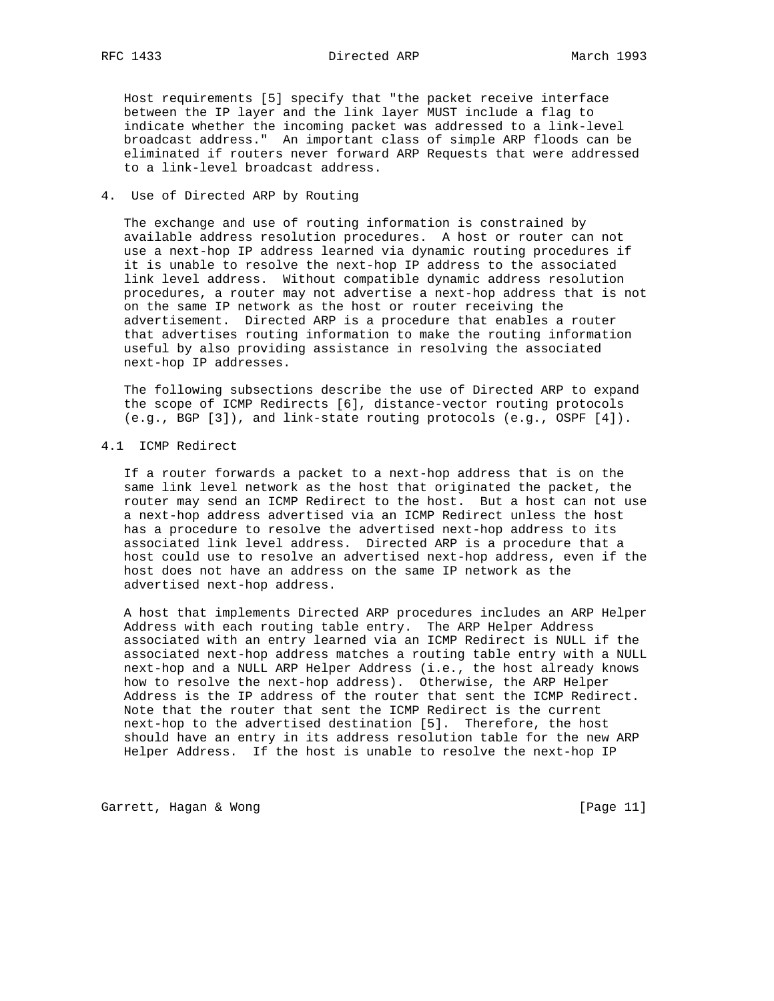Host requirements [5] specify that "the packet receive interface between the IP layer and the link layer MUST include a flag to indicate whether the incoming packet was addressed to a link-level broadcast address." An important class of simple ARP floods can be eliminated if routers never forward ARP Requests that were addressed to a link-level broadcast address.

### 4. Use of Directed ARP by Routing

 The exchange and use of routing information is constrained by available address resolution procedures. A host or router can not use a next-hop IP address learned via dynamic routing procedures if it is unable to resolve the next-hop IP address to the associated link level address. Without compatible dynamic address resolution procedures, a router may not advertise a next-hop address that is not on the same IP network as the host or router receiving the advertisement. Directed ARP is a procedure that enables a router that advertises routing information to make the routing information useful by also providing assistance in resolving the associated next-hop IP addresses.

 The following subsections describe the use of Directed ARP to expand the scope of ICMP Redirects [6], distance-vector routing protocols (e.g., BGP [3]), and link-state routing protocols (e.g., OSPF [4]).

## 4.1 ICMP Redirect

 If a router forwards a packet to a next-hop address that is on the same link level network as the host that originated the packet, the router may send an ICMP Redirect to the host. But a host can not use a next-hop address advertised via an ICMP Redirect unless the host has a procedure to resolve the advertised next-hop address to its associated link level address. Directed ARP is a procedure that a host could use to resolve an advertised next-hop address, even if the host does not have an address on the same IP network as the advertised next-hop address.

 A host that implements Directed ARP procedures includes an ARP Helper Address with each routing table entry. The ARP Helper Address associated with an entry learned via an ICMP Redirect is NULL if the associated next-hop address matches a routing table entry with a NULL next-hop and a NULL ARP Helper Address (i.e., the host already knows how to resolve the next-hop address). Otherwise, the ARP Helper Address is the IP address of the router that sent the ICMP Redirect. Note that the router that sent the ICMP Redirect is the current next-hop to the advertised destination [5]. Therefore, the host should have an entry in its address resolution table for the new ARP Helper Address. If the host is unable to resolve the next-hop IP

Garrett, Hagan & Wong [Page 11]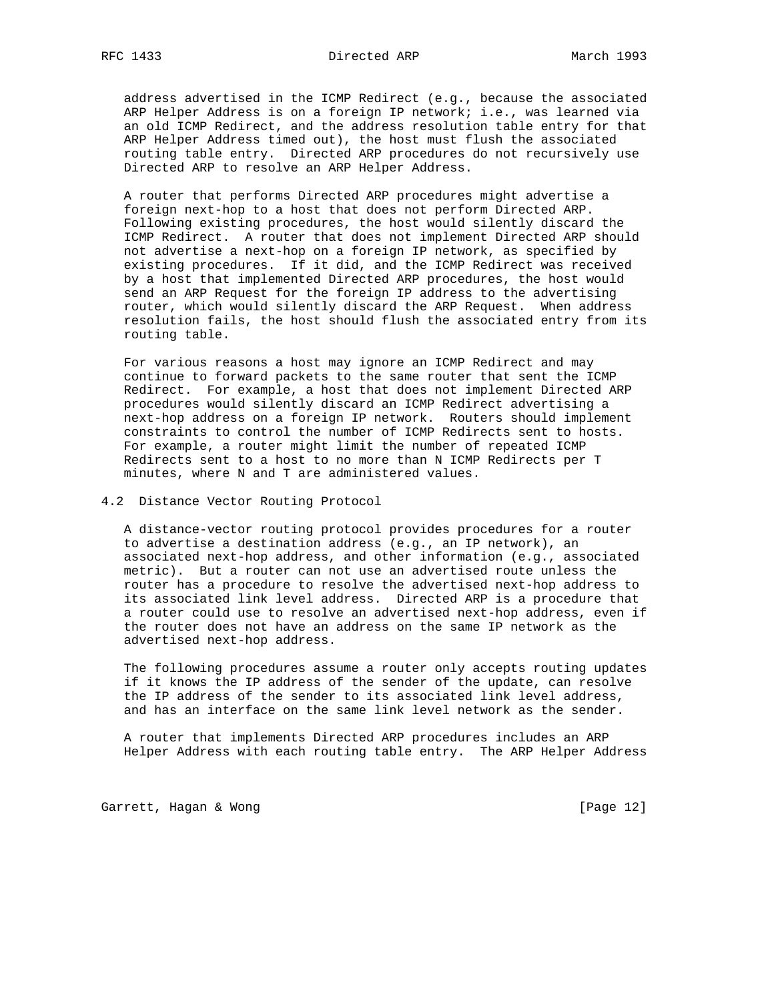address advertised in the ICMP Redirect (e.g., because the associated ARP Helper Address is on a foreign IP network; i.e., was learned via an old ICMP Redirect, and the address resolution table entry for that ARP Helper Address timed out), the host must flush the associated routing table entry. Directed ARP procedures do not recursively use Directed ARP to resolve an ARP Helper Address.

 A router that performs Directed ARP procedures might advertise a foreign next-hop to a host that does not perform Directed ARP. Following existing procedures, the host would silently discard the ICMP Redirect. A router that does not implement Directed ARP should not advertise a next-hop on a foreign IP network, as specified by existing procedures. If it did, and the ICMP Redirect was received by a host that implemented Directed ARP procedures, the host would send an ARP Request for the foreign IP address to the advertising router, which would silently discard the ARP Request. When address resolution fails, the host should flush the associated entry from its routing table.

 For various reasons a host may ignore an ICMP Redirect and may continue to forward packets to the same router that sent the ICMP Redirect. For example, a host that does not implement Directed ARP procedures would silently discard an ICMP Redirect advertising a next-hop address on a foreign IP network. Routers should implement constraints to control the number of ICMP Redirects sent to hosts. For example, a router might limit the number of repeated ICMP Redirects sent to a host to no more than N ICMP Redirects per T minutes, where N and T are administered values.

## 4.2 Distance Vector Routing Protocol

 A distance-vector routing protocol provides procedures for a router to advertise a destination address (e.g., an IP network), an associated next-hop address, and other information (e.g., associated metric). But a router can not use an advertised route unless the router has a procedure to resolve the advertised next-hop address to its associated link level address. Directed ARP is a procedure that a router could use to resolve an advertised next-hop address, even if the router does not have an address on the same IP network as the advertised next-hop address.

 The following procedures assume a router only accepts routing updates if it knows the IP address of the sender of the update, can resolve the IP address of the sender to its associated link level address, and has an interface on the same link level network as the sender.

 A router that implements Directed ARP procedures includes an ARP Helper Address with each routing table entry. The ARP Helper Address

Garrett, Hagan & Wong [Page 12]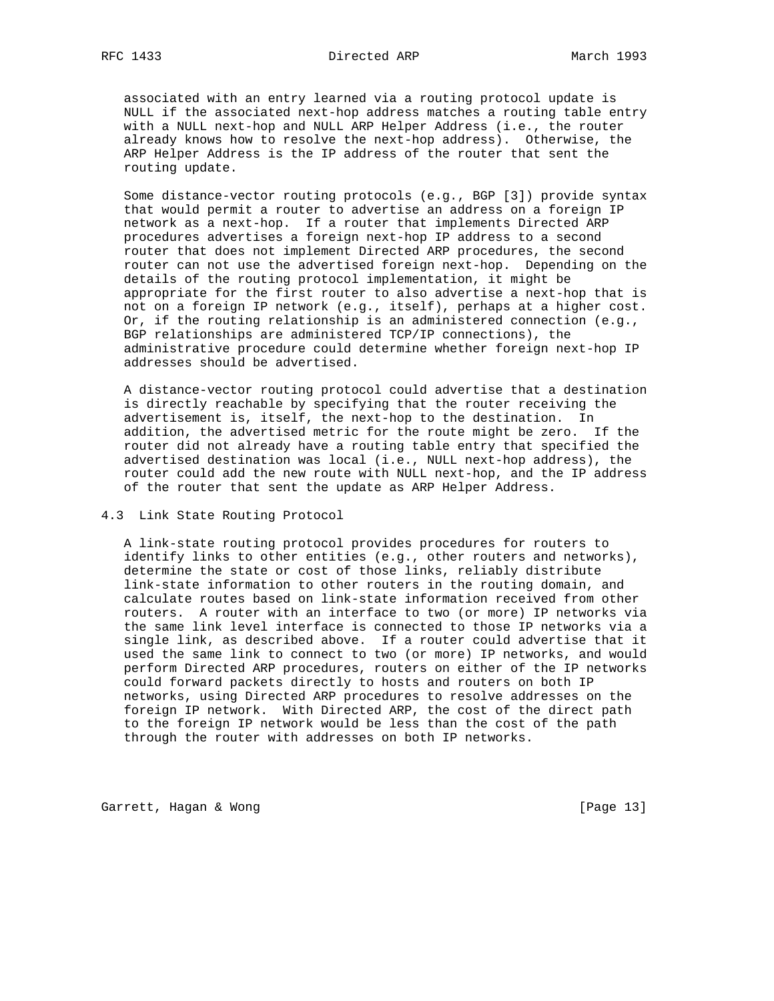associated with an entry learned via a routing protocol update is NULL if the associated next-hop address matches a routing table entry with a NULL next-hop and NULL ARP Helper Address (i.e., the router already knows how to resolve the next-hop address). Otherwise, the ARP Helper Address is the IP address of the router that sent the routing update.

 Some distance-vector routing protocols (e.g., BGP [3]) provide syntax that would permit a router to advertise an address on a foreign IP network as a next-hop. If a router that implements Directed ARP procedures advertises a foreign next-hop IP address to a second router that does not implement Directed ARP procedures, the second router can not use the advertised foreign next-hop. Depending on the details of the routing protocol implementation, it might be appropriate for the first router to also advertise a next-hop that is not on a foreign IP network (e.g., itself), perhaps at a higher cost. Or, if the routing relationship is an administered connection (e.g., BGP relationships are administered TCP/IP connections), the administrative procedure could determine whether foreign next-hop IP addresses should be advertised.

 A distance-vector routing protocol could advertise that a destination is directly reachable by specifying that the router receiving the advertisement is, itself, the next-hop to the destination. In addition, the advertised metric for the route might be zero. If the router did not already have a routing table entry that specified the advertised destination was local (i.e., NULL next-hop address), the router could add the new route with NULL next-hop, and the IP address of the router that sent the update as ARP Helper Address.

### 4.3 Link State Routing Protocol

 A link-state routing protocol provides procedures for routers to identify links to other entities (e.g., other routers and networks), determine the state or cost of those links, reliably distribute link-state information to other routers in the routing domain, and calculate routes based on link-state information received from other routers. A router with an interface to two (or more) IP networks via the same link level interface is connected to those IP networks via a single link, as described above. If a router could advertise that it used the same link to connect to two (or more) IP networks, and would perform Directed ARP procedures, routers on either of the IP networks could forward packets directly to hosts and routers on both IP networks, using Directed ARP procedures to resolve addresses on the foreign IP network. With Directed ARP, the cost of the direct path to the foreign IP network would be less than the cost of the path through the router with addresses on both IP networks.

Garrett, Hagan & Wong [Page 13]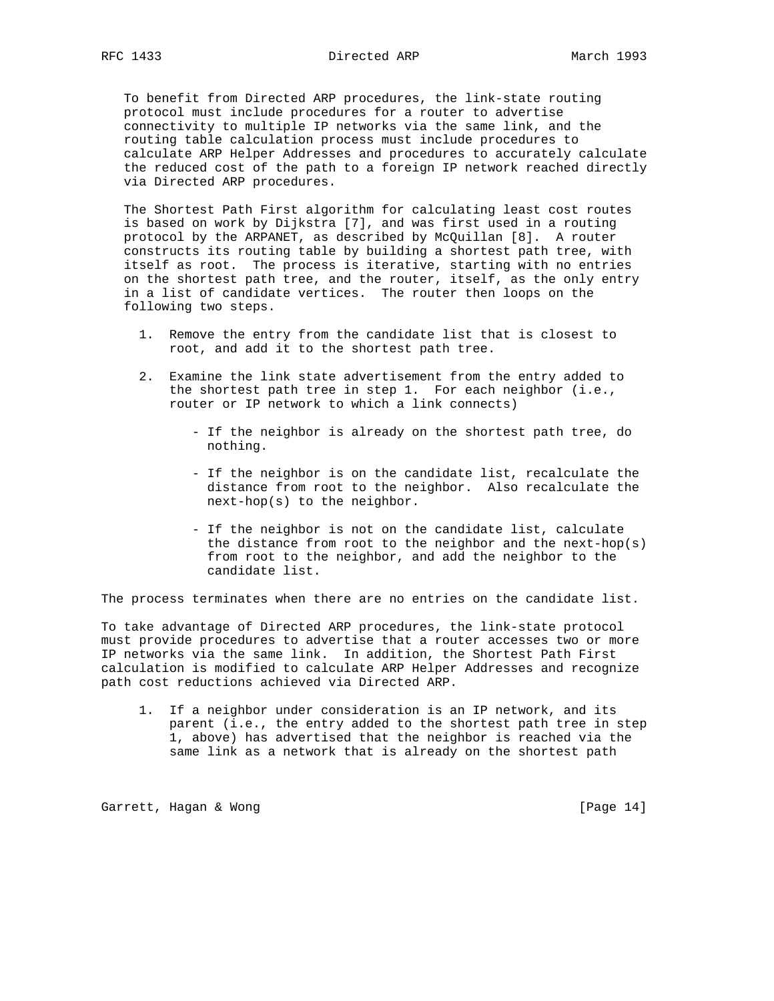To benefit from Directed ARP procedures, the link-state routing protocol must include procedures for a router to advertise connectivity to multiple IP networks via the same link, and the routing table calculation process must include procedures to calculate ARP Helper Addresses and procedures to accurately calculate the reduced cost of the path to a foreign IP network reached directly via Directed ARP procedures.

 The Shortest Path First algorithm for calculating least cost routes is based on work by Dijkstra [7], and was first used in a routing protocol by the ARPANET, as described by McQuillan [8]. A router constructs its routing table by building a shortest path tree, with itself as root. The process is iterative, starting with no entries on the shortest path tree, and the router, itself, as the only entry in a list of candidate vertices. The router then loops on the following two steps.

- 1. Remove the entry from the candidate list that is closest to root, and add it to the shortest path tree.
- 2. Examine the link state advertisement from the entry added to the shortest path tree in step 1. For each neighbor (i.e., router or IP network to which a link connects)
	- If the neighbor is already on the shortest path tree, do nothing.
	- If the neighbor is on the candidate list, recalculate the distance from root to the neighbor. Also recalculate the next-hop(s) to the neighbor.
	- If the neighbor is not on the candidate list, calculate the distance from root to the neighbor and the next-hop(s) from root to the neighbor, and add the neighbor to the candidate list.

The process terminates when there are no entries on the candidate list.

To take advantage of Directed ARP procedures, the link-state protocol must provide procedures to advertise that a router accesses two or more IP networks via the same link. In addition, the Shortest Path First calculation is modified to calculate ARP Helper Addresses and recognize path cost reductions achieved via Directed ARP.

 1. If a neighbor under consideration is an IP network, and its parent (i.e., the entry added to the shortest path tree in step 1, above) has advertised that the neighbor is reached via the same link as a network that is already on the shortest path

Garrett, Hagan & Wong [Page 14]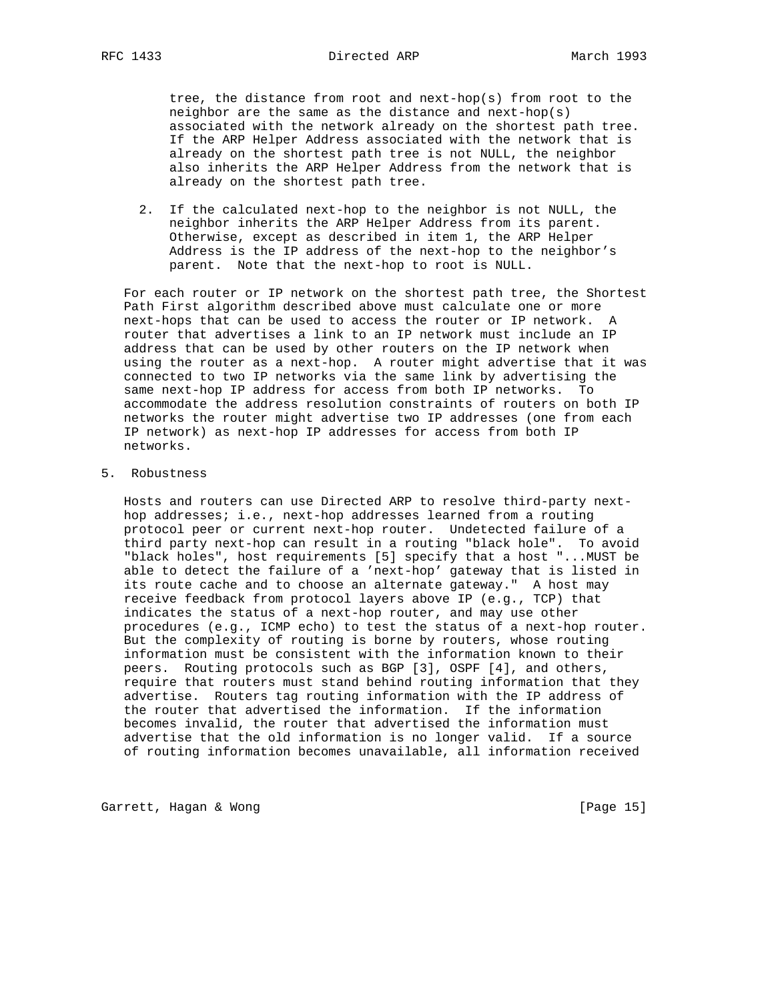tree, the distance from root and next-hop(s) from root to the neighbor are the same as the distance and next-hop(s) associated with the network already on the shortest path tree. If the ARP Helper Address associated with the network that is already on the shortest path tree is not NULL, the neighbor also inherits the ARP Helper Address from the network that is already on the shortest path tree.

 2. If the calculated next-hop to the neighbor is not NULL, the neighbor inherits the ARP Helper Address from its parent. Otherwise, except as described in item 1, the ARP Helper Address is the IP address of the next-hop to the neighbor's parent. Note that the next-hop to root is NULL.

 For each router or IP network on the shortest path tree, the Shortest Path First algorithm described above must calculate one or more next-hops that can be used to access the router or IP network. A router that advertises a link to an IP network must include an IP address that can be used by other routers on the IP network when using the router as a next-hop. A router might advertise that it was connected to two IP networks via the same link by advertising the same next-hop IP address for access from both IP networks. To accommodate the address resolution constraints of routers on both IP networks the router might advertise two IP addresses (one from each IP network) as next-hop IP addresses for access from both IP networks.

5. Robustness

 Hosts and routers can use Directed ARP to resolve third-party next hop addresses; i.e., next-hop addresses learned from a routing protocol peer or current next-hop router. Undetected failure of a third party next-hop can result in a routing "black hole". To avoid "black holes", host requirements [5] specify that a host "...MUST be able to detect the failure of a 'next-hop' gateway that is listed in its route cache and to choose an alternate gateway." A host may receive feedback from protocol layers above IP (e.g., TCP) that indicates the status of a next-hop router, and may use other procedures (e.g., ICMP echo) to test the status of a next-hop router. But the complexity of routing is borne by routers, whose routing information must be consistent with the information known to their peers. Routing protocols such as BGP [3], OSPF [4], and others, require that routers must stand behind routing information that they advertise. Routers tag routing information with the IP address of the router that advertised the information. If the information becomes invalid, the router that advertised the information must advertise that the old information is no longer valid. If a source of routing information becomes unavailable, all information received

Garrett, Hagan & Wong [Page 15]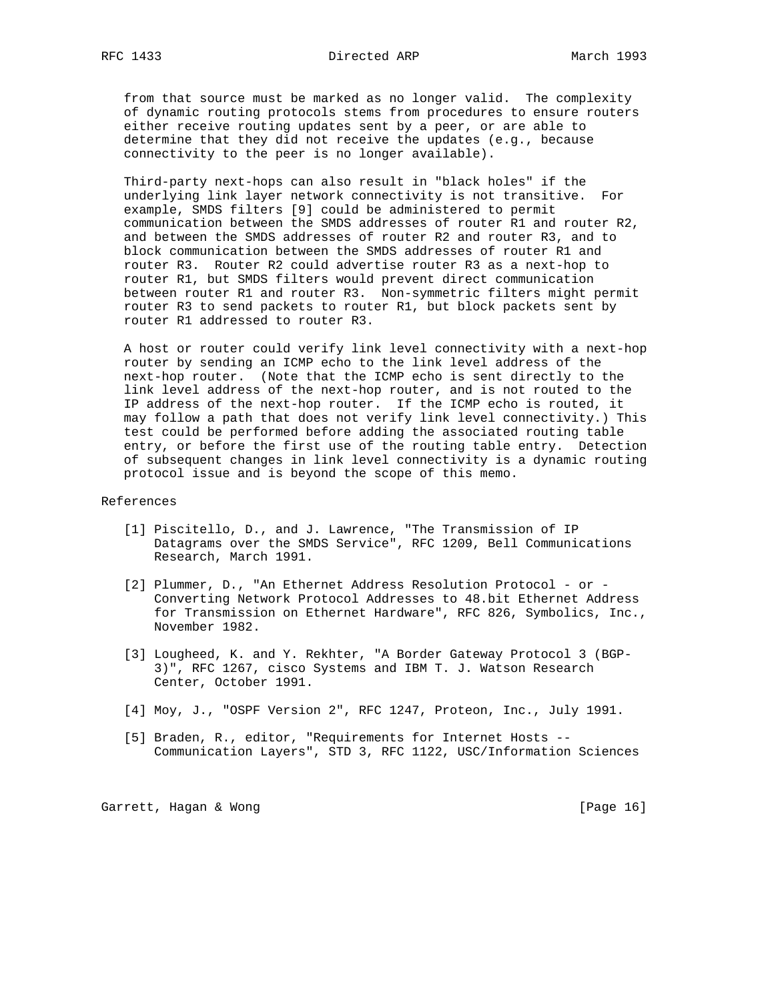from that source must be marked as no longer valid. The complexity of dynamic routing protocols stems from procedures to ensure routers either receive routing updates sent by a peer, or are able to determine that they did not receive the updates (e.g., because connectivity to the peer is no longer available).

 Third-party next-hops can also result in "black holes" if the underlying link layer network connectivity is not transitive. For example, SMDS filters [9] could be administered to permit communication between the SMDS addresses of router R1 and router R2, and between the SMDS addresses of router R2 and router R3, and to block communication between the SMDS addresses of router R1 and router R3. Router R2 could advertise router R3 as a next-hop to router R1, but SMDS filters would prevent direct communication between router R1 and router R3. Non-symmetric filters might permit router R3 to send packets to router R1, but block packets sent by router R1 addressed to router R3.

 A host or router could verify link level connectivity with a next-hop router by sending an ICMP echo to the link level address of the next-hop router. (Note that the ICMP echo is sent directly to the link level address of the next-hop router, and is not routed to the IP address of the next-hop router. If the ICMP echo is routed, it may follow a path that does not verify link level connectivity.) This test could be performed before adding the associated routing table entry, or before the first use of the routing table entry. Detection of subsequent changes in link level connectivity is a dynamic routing protocol issue and is beyond the scope of this memo.

#### References

- [1] Piscitello, D., and J. Lawrence, "The Transmission of IP Datagrams over the SMDS Service", RFC 1209, Bell Communications Research, March 1991.
- [2] Plummer, D., "An Ethernet Address Resolution Protocol or Converting Network Protocol Addresses to 48.bit Ethernet Address for Transmission on Ethernet Hardware", RFC 826, Symbolics, Inc., November 1982.
- [3] Lougheed, K. and Y. Rekhter, "A Border Gateway Protocol 3 (BGP- 3)", RFC 1267, cisco Systems and IBM T. J. Watson Research Center, October 1991.
- [4] Moy, J., "OSPF Version 2", RFC 1247, Proteon, Inc., July 1991.
- [5] Braden, R., editor, "Requirements for Internet Hosts -- Communication Layers", STD 3, RFC 1122, USC/Information Sciences

Garrett, Hagan & Wong [Page 16]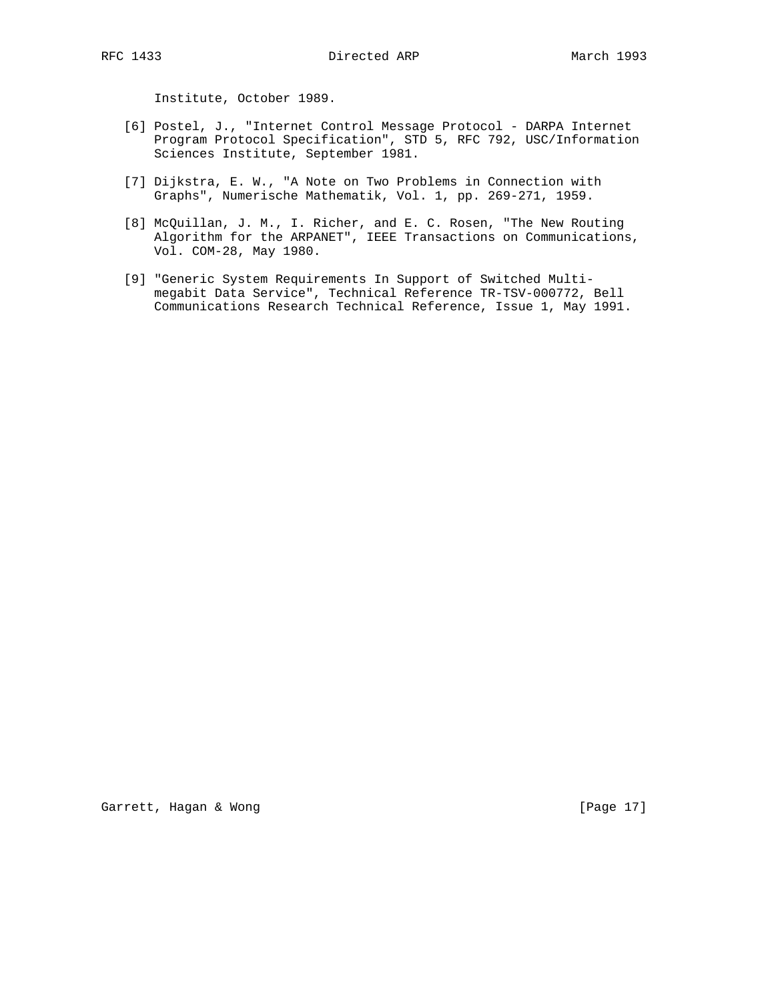Institute, October 1989.

- [6] Postel, J., "Internet Control Message Protocol DARPA Internet Program Protocol Specification", STD 5, RFC 792, USC/Information Sciences Institute, September 1981.
- [7] Dijkstra, E. W., "A Note on Two Problems in Connection with Graphs", Numerische Mathematik, Vol. 1, pp. 269-271, 1959.
- [8] McQuillan, J. M., I. Richer, and E. C. Rosen, "The New Routing Algorithm for the ARPANET", IEEE Transactions on Communications, Vol. COM-28, May 1980.
- [9] "Generic System Requirements In Support of Switched Multi megabit Data Service", Technical Reference TR-TSV-000772, Bell Communications Research Technical Reference, Issue 1, May 1991.